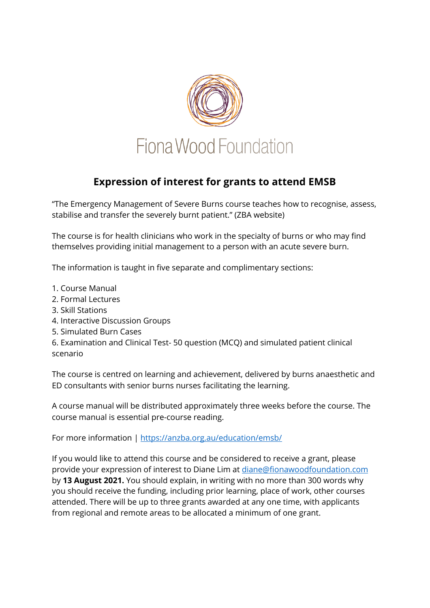

## **Expression of interest for grants to attend EMSB**

"The Emergency Management of Severe Burns course teaches how to recognise, assess, stabilise and transfer the severely burnt patient." (ZBA website)

The course is for health clinicians who work in the specialty of burns or who may find themselves providing initial management to a person with an acute severe burn.

The information is taught in five separate and complimentary sections:

- 1. Course Manual
- 2. Formal Lectures
- 3. Skill Stations
- 4. Interactive Discussion Groups
- 5. Simulated Burn Cases
- 6. Examination and Clinical Test- 50 question (MCQ) and simulated patient clinical scenario

The course is centred on learning and achievement, delivered by burns anaesthetic and ED consultants with senior burns nurses facilitating the learning.

A course manual will be distributed approximately three weeks before the course. The course manual is essential pre-course reading.

For more information | https://anzba.org.au/education/emsb/

If you would like to attend this course and be considered to receive a grant, please provide your expression of interest to Diane Lim at diane@fionawoodfoundation.com by **13 August 2021.** You should explain, in writing with no more than 300 words why you should receive the funding, including prior learning, place of work, other courses attended. There will be up to three grants awarded at any one time, with applicants from regional and remote areas to be allocated a minimum of one grant.